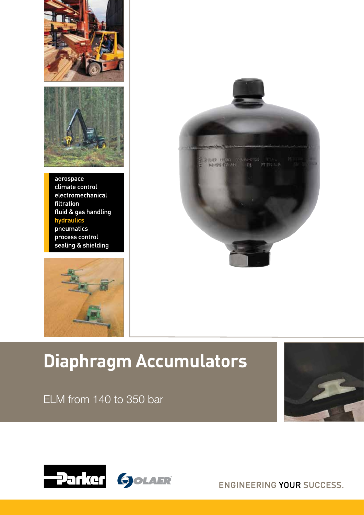



aerospace climate control electromechanical filtration fluid & gas handling hydraulics pneumatics process control sealing & shielding





# **Diaphragm Accumulators**

ELM from 140 to 350 bar





ENGINEERING YOUR SUCCESS.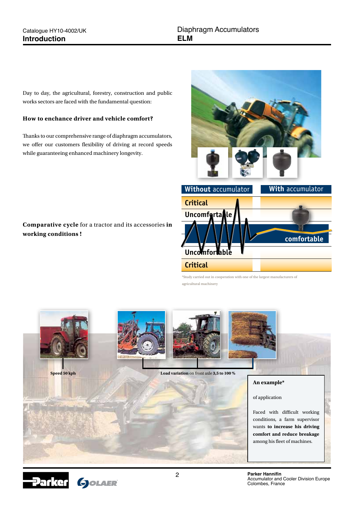Day to day, the agricultural, forestry, construction and public works sectors are faced with the fundamental question:

# **How to enchance driver and vehicle comfort?**

Thanks to our comprehensive range of diaphragm accumulators, we offer our customers flexibility of driving at record speeds while guaranteeing enhanced machinery longevity.

# **Comparative cycle** for a tractor and its accessories **in working conditions !**



\*Study carried out in cooperation with one of the largest manufacturers of agricultural machinery



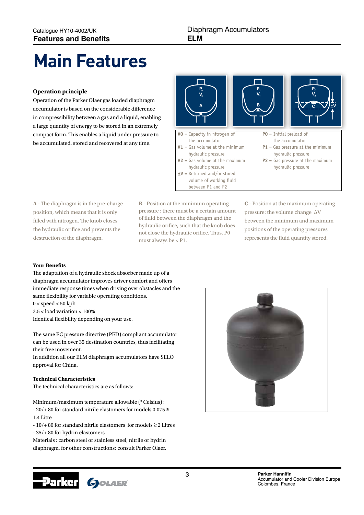# **Main Features**

# **Operation principle**

Operation of the Parker Olaer gas loaded diaphragm accumulator is based on the considerable difference in compressibility between a gas and a liquid, enabling a large quantity of energy to be stored in an extremely compact form. This enables a liquid under pressure to be accumulated, stored and recovered at any time.



**A** - The diaphragm is in the pre-charge position, which means that it is only filled with nitrogen. The knob closes the hydraulic orifice and prevents the destruction of the diaphragm.

**B** - Position at the minimum operating pressure : there must be a certain amount of fluid between the diaphragm and the hydraulic orifice, such that the knob does not close the hydraulic orifice. Thus, P0 must always be < P1.

**C** - Position at the maximum operating pressure: the volume change ∆V between the minimum and maximum positions of the operating pressures represents the fluid quantity stored.

# **Your Benefits**

The adaptation of a hydraulic shock absorber made up of a diaphragm accumulator improves driver comfort and offers immediate response times when driving over obstacles and the same flexibility for variable operating conditions.

 $0 <$  speed  $< 50$  kph 3.5 < load variation < 100%

Identical flexibility depending on your use.

The same EC pressure directive (PED) compliant accumulator can be used in over 35 destination countries, thus facilitating their free movement.

In addition all our ELM diaphragm accumulators have SELO approval for China.

# **Technical Characteristics**

The technical characteristics are as follows:

Minimum/maximum temperature allowable (° Celsius) : - 20/+ 80 for standard nitrile elastomers for models 0.075 ≥ 1.4 Litre

- 10/+ 80 for standard nitrile elastomers for models ≥ 2 Litres - 35/+ 80 for hydrin elastomers

Materials : carbon steel or stainless steel, nitrile or hydrin diaphragm, for other constructions: consult Parker Olaer.

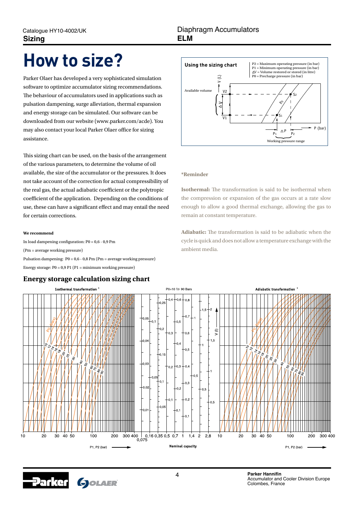# **How to size?**

Parker Olaer has developed a very sophisticated simulation software to optimize accumulator sizing recommendations. The behaviour of accumulators used in applications such as pulsation dampening, surge alleviation, thermal expansion and energy storage can be simulated. Our software can be downloaded from our website (www.parker.com/acde). You may also contact your local Parker Olaer office for sizing assistance.

This sizing chart can be used, on the basis of the arrangement of the various parameters, to determine the volume of oil available, the size of the accumulator or the pressures. It does not take account of the correction for actual compressibility of the real gas, the actual adiabatic coefficient or the polytropic coefficient of the application. Depending on the conditions of use, these can have a significant effect and may entail the need for certain corrections.

#### **We recommend**

In load dampening configuration: P0 = 0,6 - 0,9 Pm (Pm = average working pressure) Pulsation dampening: P0 = 0,6 - 0,8 Pm (Pm = average working pressure) Energy storage:  $P0 = 0.9$  P1 (P1 = minimum working pressure)

# **Energy storage calculation sizing chart**



### **\*Reminder**

**Isothermal:** The transformation is said to be isothermal when the compression or expansion of the gas occurs at a rate slow enough to allow a good thermal exchange, allowing the gas to remain at constant temperature.

**Adiabatic:** The transformation is said to be adiabatic when the cycle is quick and does not allow a temperature exchange with the ambient media.





4 **Parker Hannifin** Accumulator and Cooler Division Europe Colombes, France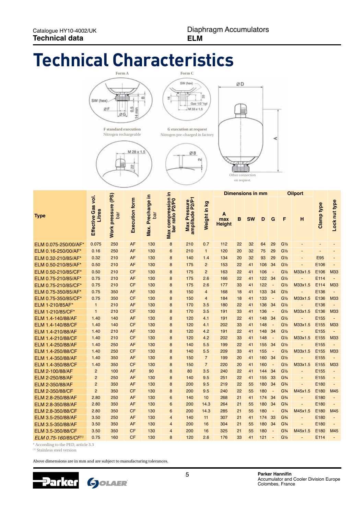# **Technical Characteristics**



Nitrogen rechargeable





|                       |                              |                                        |                       |                          | 으                                  |                                |                | <b>Dimensions in mm</b>   |    |           |     |                          | <b>Oilport</b>                |         |            |                          |
|-----------------------|------------------------------|----------------------------------------|-----------------------|--------------------------|------------------------------------|--------------------------------|----------------|---------------------------|----|-----------|-----|--------------------------|-------------------------------|---------|------------|--------------------------|
| <b>Type</b>           | Effective Gas vol.<br>Litres | (PS)<br>pressure<br>bar<br><b>Work</b> | <b>Execution form</b> | Max. Precharge in<br>bar | Max compression<br>bar ratio P2/P0 | Max Pressure<br>amplitude P2/P | Weight in kg   | A<br>max<br><b>Height</b> | в  | <b>SW</b> | D   | G                        | F                             | н       | Clamp type | Lock nut type            |
| ELM 0.075-250/00/AF*  | 0.075                        | 250                                    | <b>AF</b>             | 130                      | 8                                  | 210                            | 0.7            | 112                       | 22 | 32        | 64  | 29                       | G <sub>2</sub>                |         |            |                          |
| ELM 0.16-250/00/AF*   | 0.16                         | 250                                    | AF                    | 130                      | 6                                  | 210                            | $\mathbf{1}$   | 120                       | 20 | 32        | 75  | 29                       | G <sub>1/2</sub>              |         |            |                          |
| ELM 0.32-210/85/AF*   | 0.32                         | 210                                    | AF                    | 130                      | 8                                  | 140                            | 1.4            | 134                       | 20 | 32        | 93  | 29                       | G <sub>1/2</sub>              |         | <b>E95</b> |                          |
| ELM 0.50-210/85/AF*   | 0.50                         | 210                                    | AF                    | 130                      | 8                                  | 175                            | $\overline{c}$ | 153                       | 22 | 41        | 106 | 34                       | G <sub>1/2</sub>              |         | E106       | ÷                        |
| ELM 0.50-210/85/CF*   | 0.50                         | 210                                    | <b>CF</b>             | 130                      | 8                                  | 175                            | $\overline{2}$ | 163                       | 22 | 41        | 106 | $\sim$                   | G <sub>1/2</sub>              | M33x1.5 | E106       | M33                      |
| ELM 0.75-210/85/AF*   | 0.75                         | 210                                    | AF                    | 130                      | 8                                  | 175                            | 2.6            | 166                       | 22 | 41        | 122 | 34                       | G <sub>2</sub>                |         | E114       | ÷,                       |
| ELM 0.75-210/85/CF*   | 0.75                         | 210                                    | <b>CF</b>             | 130                      | 8                                  | 175                            | 2.6            | 177                       | 33 | 41        | 122 | $\sim$                   | G <sub>2</sub>                | M33x1.5 | E114       | M33                      |
| ELM 0.75-350/85/AF*   | 0.75                         | 350                                    | AF                    | 130                      | 8                                  | 150                            | $\overline{4}$ | 168                       | 18 | 41        | 133 | 34                       | G <sub>2</sub>                |         | E136       | $\blacksquare$           |
| ELM 0.75-350/85/CF*   | 0.75                         | 350                                    | <b>CF</b>             | 130                      | 8                                  | 150                            | $\overline{4}$ | 184                       | 18 | 41        | 133 | $\sim$                   | G <sub>2</sub>                | M33x1.5 | E136       | M33                      |
| ELM 1-210/85AF*       | $\mathbf{1}$                 | 210                                    | AF                    | 130                      | 8                                  | 170                            | 3.5            | 180                       | 22 | 41        | 136 | 34                       | G <sub>2</sub>                |         | E136       | ÷,                       |
| ELM 1-210/85/CF*      | $\mathbf{1}$                 | 210                                    | <b>CF</b>             | 130                      | 8                                  | 170                            | 3.5            | 191                       | 33 | 41        | 136 | $\sim$                   | G <sub>2</sub>                | M33x1.5 | E136       | M33                      |
| ELM 1.4-140/88/AF     | 1.40                         | 140                                    | AF                    | 130                      | 8                                  | 120                            | 4.1            | 191                       | 22 | 41        | 148 | 34                       | G <sub>2</sub>                |         | E155       | ÷,                       |
| ELM 1.4-140/88/CF     | 1.40                         | 140                                    | <b>CF</b>             | 130                      | 8                                  | 120                            | 4.1            | 202                       | 33 | 41        | 148 | $\overline{\phantom{a}}$ | G <sub>2</sub>                | M33x1.5 | E155       | M33                      |
| ELM 1.4-210/88/AF     | 1.40                         | 210                                    | <b>AF</b>             | 130                      | 8                                  | 120                            | 4.2            | 191                       | 22 | 41        | 148 | 34                       | G <sub>1/2</sub>              |         | E155       | ÷,                       |
| ELM 1.4-210/88/CF     | 1.40                         | 210                                    | <b>CF</b>             | 130                      | 8                                  | 120                            | 4.2            | 202                       | 33 | 41        | 148 | $\overline{\phantom{a}}$ | G <sub>1/2</sub>              | M33x1.5 | E155       | M33                      |
| ELM 1.4-250/88/AF     | 1.40                         | 250                                    | AF                    | 130                      | 8                                  | 140                            | 5.5            | 199                       | 22 | 41        | 155 | 34                       | G <sub>2</sub>                |         | E155       | ÷,                       |
| ELM 1.4-250/88/CF     | 1.40                         | 250                                    | <b>CF</b>             | 130                      | 8                                  | 140                            | 5.5            | 209                       | 33 | 41        | 155 | $\overline{\phantom{a}}$ | G <sub>2</sub>                | M33x1.5 | E155       | M33                      |
| ELM 1.4-350/88/AF     | 1.40                         | 350                                    | AF                    | 130                      | 8                                  | 150                            | $\overline{7}$ | 199                       | 20 | 41        | 160 | 34                       | G <sub>2</sub>                |         | E155       | ÷,                       |
| ELM 1.4-350/88/CF     | 1.40                         | 350                                    | <b>CF</b>             | 130                      | 8                                  | 150                            | $\overline{7}$ | 220                       | 20 | 41        | 160 | $\overline{\phantom{a}}$ | G <sub>2</sub>                | M33x1.5 | E155       | M33                      |
| ELM 2-100/88/AF       | $\overline{2}$               | 100                                    | AF                    | 90                       | 8                                  | 80                             | 3.5            | 240                       | 22 | 41        | 144 | 34                       | G <sub>1/2</sub>              |         | E155       | ÷,                       |
| ELM 2-250/88/AF       | $\overline{2}$               | 250                                    | <b>AF</b>             | 130                      | 8                                  | 140                            | 9.5            | 251                       | 22 | 41        | 155 | 33                       | G <sup>3</sup> / <sub>4</sub> |         | E155       | ÷,                       |
| ELM 2-350/88/AF       | $\overline{2}$               | 350                                    | AF                    | 130                      | 8                                  | 200                            | 9.5            | 219                       | 22 | 55        | 180 | 34                       | G <sup>3</sup> / <sub>4</sub> |         | E180       | ä,                       |
| ELM 2-350/88/CF       | $\overline{2}$               | 350                                    | <b>CF</b>             | 130                      | 8                                  | 200                            | 9.5            | 240                       | 22 | 55        | 180 | $\overline{\phantom{a}}$ | G <sup>3</sup> / <sub>4</sub> | M45x1.5 | E180       | M45                      |
| ELM 2.8-250/88/AF     | 2.80                         | 250                                    | AF                    | 130                      | 6                                  | 140                            | 10             | 268                       | 21 | 41        | 174 | 34                       | G <sup>3</sup> / <sub>4</sub> |         | E180       | ä,                       |
| ELM 2.8-350/88/AF     | 2.80                         | 350                                    | AF                    | 130                      | 6                                  | 200                            | 14.3           | 264                       | 21 | 55        | 180 | 34                       | G <sup>3</sup> / <sub>4</sub> |         | E180       | $\blacksquare$           |
| ELM 2.8-350/88/CF     | 2.80                         | 350                                    | <b>CF</b>             | 130                      | 6                                  | 200                            | 14.3           | 285                       | 21 | 55        | 180 | $\overline{\phantom{a}}$ | G <sup>3</sup> / <sub>4</sub> | M45x1.5 | E180       | M45                      |
| ELM 3.5-250/88/AF     | 3.50                         | 250                                    | AF                    | 130                      | $\overline{4}$                     | 140                            | 11             | 307                       | 21 | 41        | 174 | 33                       | G <sup>3</sup> /4             |         | E180       | $\overline{\phantom{a}}$ |
| ELM 3.5-350/88/AF     | 3.50                         | 350                                    | AF                    | 130                      | $\overline{4}$                     | 200                            | 16             | 304                       | 21 | 55        | 180 | 34                       | G <sup>3</sup> / <sub>4</sub> |         | E180       | $\overline{\phantom{a}}$ |
| ELM 3.5-350/88/CF     | 3.50                         | 350                                    | <b>CF</b>             | 130                      | $\overline{4}$                     | 200                            | 16             | 325                       | 21 | 55        | 180 | $\overline{\phantom{a}}$ | G <sup>3</sup> / <sub>4</sub> | M45x1.5 | E180       | M45                      |
| ELM 0.75-160/85/CF(1) | 0.75                         | 160                                    | <b>CF</b>             | 130                      | $\mathsf{R}$                       | 120                            | 2.6            | 176                       | 33 | 41        | 121 |                          | G <sub>2</sub>                |         | E114       |                          |

**Form A Form C**

SW (hex)

÷

 $\overline{\mathbf{z}}$ 

\* According to the PED, article 3.3

(1) Stainless steel version

Above dimensions are in mm and are subject to manufacturing tolerances.

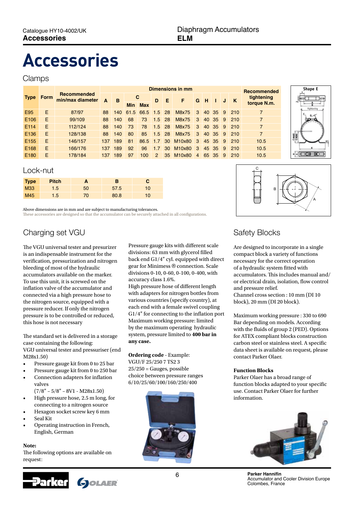# **Accessories**

# Clamps

|                  | Form |                                        | Dimensions in mm |     |    |                  |               |           |                      |                  |    |         |    | <b>Recommended</b> |                |
|------------------|------|----------------------------------------|------------------|-----|----|------------------|---------------|-----------|----------------------|------------------|----|---------|----|--------------------|----------------|
| <b>Type</b>      |      | <b>Recommended</b><br>min/max diameter | A                | B   | C  |                  | D             | -E        | F                    | G                | -H |         | J  | $\mathbf K$        | tightening     |
|                  |      |                                        |                  |     |    | Min Max          |               |           |                      |                  |    |         |    |                    | torque N.m.    |
| E95              | Ε    | 87/97                                  | 88               | 140 |    | 61.5 66.5 1.5 28 |               |           | M8x75                | $\blacksquare$ 3 |    | 40 35 9 |    | 210                | $\overline{7}$ |
| E <sub>106</sub> | Ε    | 99/109                                 | 88               | 140 | 68 | 73               | $1.5$ 28      |           | M8x75                | 3 <sub>1</sub>   |    | 40 35   | -9 | 210                | $\overline{7}$ |
| E114             | F    | 112/124                                | 88               | 140 | 73 | 78               | $1.5$ 28      |           | M8x75                | $-3$             |    | 40 35 9 |    | 210                | $\overline{7}$ |
| E <sub>136</sub> | F    | 128/138                                | 88               | 140 | 80 | 85               | $1.5$ 28      |           | M8x75                | $-3$             |    | 40 35 9 |    | 210                | $\overline{7}$ |
| E <sub>155</sub> | Ε    | 146/157                                | 137              | 189 | 81 | 86.5             | 17            | 30        | M <sub>10x80</sub> 3 |                  |    | 45 35 9 |    | 210                | 10.5           |
| E168             | Ε    | 166/176                                | 137              | 189 | 92 | 96               | 1.7           | <b>30</b> | M10x80               | 3                |    | 45 35   | -9 | 210                | 10.5           |
| E <sub>180</sub> | F    | 178/184                                | 137              | 189 | 97 | 100              | $\mathcal{P}$ | 35        | M <sub>10x80</sub>   | $\overline{4}$   |    | 65 35   | -9 | 210                | 10.5           |



# Lock-nut

| <b>Type</b> | <b>Pitch</b> |    | В    |                 |
|-------------|--------------|----|------|-----------------|
| <b>M33</b>  | 1.5          | 50 | 57.5 | 10 <sup>1</sup> |
| M45         | 1.5          | 70 | 80.8 | 10 <sup>1</sup> |

Above dimensions are in mm and are subject to manufacturing tolerances. These accessories are designed so that the accumulator can be securely attached in all configurations.

# Charging set VGU

The VGU universal tester and presurizer is an indispensable instrument for the verification, pressurization and nitrogen bleeding of most of the hydraulic accumulators available on the marker. To use this unit, it is screwed on the inflation valve of the accumulator and connected via a high pressure hose to the nitrogen source, equipped with a pressure reducer. If only the nitrogen pressure is to be controlled or reduced, this hose is not necessary

The standard set is delivered in a storage case containing the following: VGU universal tester and pressuriser (end M28x1.50)

- Pressure gauge kit from 0 to 25 bar
- Pressure gauge kit from 0 to 250 bar
- Connection adapters for inflation valves
- $(7/8" 5/8" 8V1 M28x1.50)$
- High pressure hose, 2.5 m long, for connecting to a nitrogen source
- Hexagon socket screw key 6 mm
- Seal Kit
- Operating instruction in French, English, German

# **Note:**

The following options are available on request:



Pressure gauge kits with different scale divisions: 63 mm with glycerol filled back end G1/4'' cyl. equipped with direct gear for Minimess ® connection. Scale divisions 0-10, 0-60, 0-100, 0-400, with accuracy class 1.6%.

High pressure hose of different length with adapters for nitrogen bottles from various countries (specify country), at each end with a female swivel coupling G1/4'' for connecting to the inflation port Maximum working pressure: limited by the maximum operating hydraulic system, pressure limited to **400 bar in any case.**

# **Ordering code** - Example:

VGU/F 25/250 7 TS2 3  $25/250 =$  Gauges, possible choice between pressure ranges 6/10/25/60/100/160/250/400





# Safety Blocks

Are designed to incorporate in a single compact block a variety of functions necessary for the correct operation of a hydraulic system fitted with accumulators. This includes manual and/ or electrical drain, isolation, flow control and pressure relief. Channel cross section : 10 mm (DI 10 block), 20 mm (DI 20 block).

Maximum working pressure : 330 to 690 Bar depending on models. According with the fluids of group 2 (PED). Options for ATEX compliant blocks construction carbon steel or stainless steel. A specific data sheet is available on request, please contact Parker Olaer.

## **Function Blocks**

Parker Olaer has a broad range of function blocks adapted to your specific use. Contact Parker Olaer for further information.



6 **Parker Hannifin** Accumulator and Cooler Division Europe Colombes, France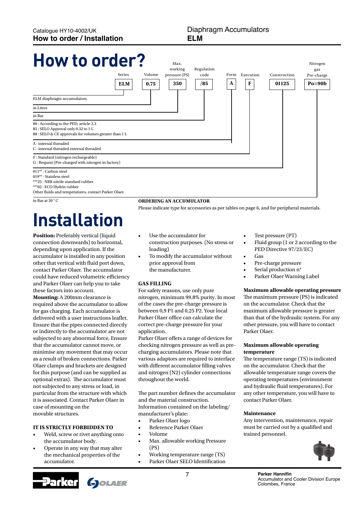# **How to order?**



in Bar at 20 ° C

# **Installation**

**Position:** Preferably vertical (liquid connection downwards) to horizontal, depending upon application. If the accumulator is installed in any position other that vertical with fluid port down, contact Parker Olaer. The accumulator could have reduced volumetric efficiency and Parker Olaer can help you to take these factors into account.

**Mounting:** A 200mm clearance is required above the accumulator to allow for gas charging. Each accumulator is delivered with a user instructions leaflet. Ensure that the pipes connected directly or indirectly to the accumulator are not subjected to any abnormal force, Ensure that the accumulator cannot move, or minimise any movement that may occur as a result of broken connections. Parker Olaer clamps and brackets are designed for this purpose (and can be supplied as optional extras). The accumulator must not subjected to any stress or load, in particular from the structure with which it is associated. Contact Parker Olaer in case of mounting on the movable structures.

## **It is strictly forbidden to**

- Weld, screw or rivet anything onto the accumulator body.
- Operate in any way that may alter the mechanical properties of the accumulator.



## **Ordering an accumulator**

Please indicate type for accessories as per tables on page 6, and for peripheral materials.

- Use the accumulator for construction purposes. (No stress or loading)
- To modify the accumulator without prior approval from the manufacturer.

### **GAS FILLING**

For safety reasons, use only pure nitrogen, minimum 99.8% purity. In most of the cases the pre-charge pressure is between 0,9 P1 and 0,25 P2. Your local Parker Olaer office can calculate the correct pre-charge pressure for your application.

Parker Olaer offers a range of devices for checking nitrogen pressure as well as precharging accumulators. Please note that various adaptors are required to interface with different accumulator filling valves and nitrogen (N2) cylinder connections throughout the world.

The part number defines the accumulator and the material construction. Information contained on the labeling/ manufacturer's plate:

- • Parker Olaer logo
- **Reference Parker Olaer**
- • Volume
- Max. allowable working Pressure (PS)
- Working temperature range (TS)
- • Parker Olaer SELO Identification
- Test pressure (PT)
- Fluid group  $(1$  or  $2$  according to the PED Directive 97/23/EC)
- Gas
- Pre-charge pressure
- Serial production n°
- Parker Olaer Warning Label

## **Maximum allowable operating pressure**

The maximum pressure (PS) is indicated on the accumulator. Check that the maximum allowable pressure is greater than that of the hydraulic system. For any other pressure, you will have to contact Parker Olaer.

### **Maximum allowable operating temperature**

The temperature range (TS) is indicated on the accumulator. Check that the allowable temperature range covers the operating temperatures (environment and hydraulic fluid temperatures). For any other temperature, you will have to contact Parker Olaer.

### **Maintenance**

Any intervention, maintenance, repair must be carried out by a qualified and trained personnel.